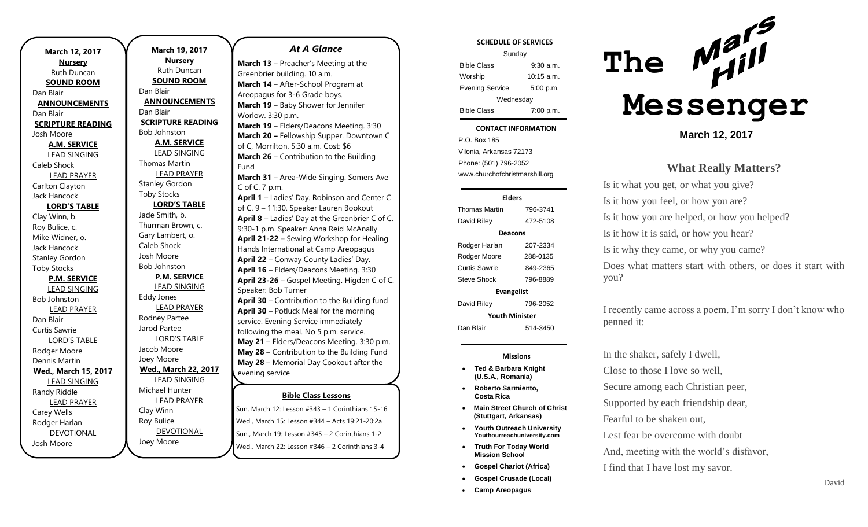| March 12, 2017           |  |  |
|--------------------------|--|--|
| <b>Nursery</b>           |  |  |
| Ruth Duncan              |  |  |
| <b>SOUND ROOM</b>        |  |  |
| Dan Blair                |  |  |
| <b>ANNOUNCEMENTS</b>     |  |  |
| Dan Blair                |  |  |
| <b>SCRIPTURE READING</b> |  |  |
| Josh Moore               |  |  |
| <u>A.M. SERVICE</u>      |  |  |
| LEAD SINGING             |  |  |
| Caleb Shock              |  |  |
| <b>LEAD PRAYER</b>       |  |  |
| Carlton Clayton          |  |  |
| Jack Hancock             |  |  |
| <b>LORD'S TABLE</b>      |  |  |
| Clay Winn, b.            |  |  |
| Roy Bulice, c.           |  |  |
| Mike Widner, o.          |  |  |
| <b>Jack Hancock</b>      |  |  |
| <b>Stanley Gordon</b>    |  |  |
| <b>Toby Stocks</b>       |  |  |
| <b>P.M. SERVICE</b>      |  |  |
| <b>LEAD SINGING</b>      |  |  |
| <b>Bob Johnston</b>      |  |  |
| <b>LEAD PRAYER</b>       |  |  |
| Dan Blair                |  |  |
| Curtis Sawrie            |  |  |
| <b>LORD'S TABLE</b>      |  |  |
| Rodger Moore             |  |  |
| Dennis Martin            |  |  |
| Wed., March 15, 2017     |  |  |
| <b>LEAD SINGING</b>      |  |  |
| Randy Riddle             |  |  |
| <b>LEAD PRAYER</b>       |  |  |
| Carey Wells              |  |  |
| Rodger Harlan            |  |  |
| <b>DEVOTIONAL</b>        |  |  |
| Josh Moore               |  |  |

**March 19, 2017 Nursery** Ruth Duncan **SOUND ROOM** Dan Blair **ANNOUNCEMENTS** Dan Blair **SCRIPTURE READING** Bob Johnston **A.M. SERVICE** LEAD SINGING Thomas Martin LEAD PRAYER Stanley Gordon Toby Stocks **LORD'S TABLE** Jade Smith, b. Thurman Brown, c. Gary Lambert, o. Caleb Shock Josh Moore Bob Johnston **P.M. SERVICE** LEAD SINGING Eddy Jones LEAD PRAYER Rodney Partee Jarod Partee LORD'S TABLE Jacob Moore Joey Moore **Wed., March 22, 2017** LEAD SINGING Michael Hunter LEAD PRAYER Clay Winn Roy Bulice DEVOTIONAL

Joey Moore

### *At A Glance*

**Bible Class Lessons March 13** – Preacher's Meeting at the Greenbrier building. 10 a.m. **March 14** – After-School Program at Areopagus for 3-6 Grade boys. **March 19** – Baby Shower for Jennifer Worlow. 3:30 p.m. **March 19** – Elders/Deacons Meeting. 3:30 **March 20 –** Fellowship Supper. Downtown C of C, Morrilton. 5:30 a.m. Cost: \$6 **March 26** – Contribution to the Building Fund **March 31** – Area-Wide Singing. Somers Ave C of C. 7 p.m. **April 1** – Ladies' Day. Robinson and Center C of C. 9 – 11:30. Speaker Lauren Bookout **April 8** – Ladies' Day at the Greenbrier C of C. 9:30-1 p.m. Speaker: Anna Reid McAnally **April 21-22 –** Sewing Workshop for Healing Hands International at Camp Areopagus **April 22** – Conway County Ladies' Day. **April 16** – Elders/Deacons Meeting. 3:30 **April 23-26** – Gospel Meeting. Higden C of C. Speaker: Bob Turner **April 30** – Contribution to the Building fund **April 30** – Potluck Meal for the morning service. Evening Service immediately following the meal. No 5 p.m. service. **May 21** – Elders/Deacons Meeting. 3:30 p.m. **May 28** – Contribution to the Building Fund **May 28** – Memorial Day Cookout after the evening service **July 15-18** – Mars Hill VBS 2017

Sun, March 12: Lesson #343 – 1 Corinthians 15-16 Wed., March 15: Lesson #344 – Acts 19:21-20:2a Sun., March 19: Lesson #345 – 2 Corinthians 1-2 Wed., March 22: Lesson #346 – 2 Corinthians 3-4

#### **SCHEDULE OF SERVICES**

| Sunday                 |              |  |
|------------------------|--------------|--|
| <b>Bible Class</b>     | 9:30a.m.     |  |
| Worship                | $10:15$ a.m. |  |
| <b>Evening Service</b> | 5:00 p.m.    |  |
| Wednesday              |              |  |
| <b>Bible Class</b>     | 7:00 p.m.    |  |

#### Tuesday **CONTACT INFORMATION**

. .o. Bex 166<br>Vilonia, Arkansas 72173 P.O. Box 185 Phone: (501) 796-2052 www.churchofchristmarshill.org

### **Elders**

Thomas Martin 796-3741 David Riley 472-5108 **Deacons** Rodger Harlan 207-2334 Rodger Moore 288-0135 Curtis Sawrie 849-2365 Steve Shock 796-8889 **Evangelist** David Riley 796-2052 **Youth Minister** Dan Blair 514-3450

### **Missions**

- **Ted & Barbara Knight (U.S.A., Romania)**
- **Roberto Sarmiento, Costa Rica**
- **Main Street Church of Christ (Stuttgart, Arkansas)**
- **Youth Outreach University Youthourreachuniversity.com**
- **Truth For Today World Mission School**
- **Gospel Chariot (Africa)**
- **Gospel Crusade (Local)**
- **Camp Areopagus**



**March 12, 2017**

### **What Really Matters?**

Is it what you get, or what you give? Is it how you feel, or how you are? Is it how you are helped, or how you helped? Is it how it is said, or how you hear? Is it why they came, or why you came? Does what matters start with others, or does it start with you?

I recently came across a poem. I'm sorry I don't know who penned it:

In the shaker, safely I dwell, Close to those I love so well, Secure among each Christian peer, Supported by each friendship dear, Fearful to be shaken out, Lest fear be overcome with doubt And, meeting with the world's disfavor, I find that I have lost my savor.